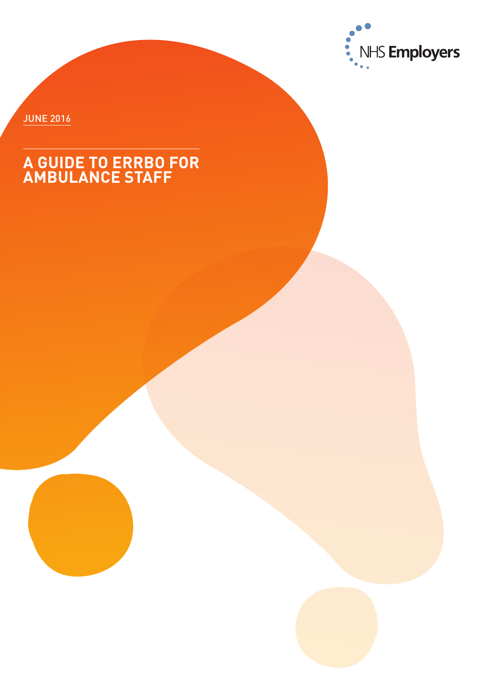

JUNE 2016

### **A GUIDE TO ERRBO FOR AMBULANCE STAFF**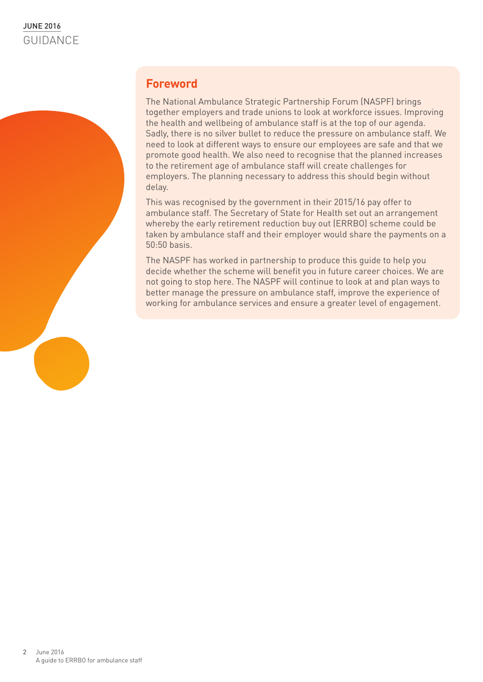### **Foreword**

The National Ambulance Strategic Partnership Forum (NASPF) brings together employers and trade unions to look at workforce issues. Improving the health and wellbeing of ambulance staff is at the top of our agenda. Sadly, there is no silver bullet to reduce the pressure on ambulance staff. We need to look at different ways to ensure our employees are safe and that we promote good health. We also need to recognise that the planned increases to the retirement age of ambulance staff will create challenges for employers. The planning necessary to address this should begin without delay.

This was recognised by the government in their 2015/16 pay offer to ambulance staff. The Secretary of State for Health set out an arrangement whereby the early retirement reduction buy out (ERRBO) scheme could be taken by ambulance staff and their employer would share the payments on a 50:50 basis.

The NASPF has worked in partnership to produce this guide to help you decide whether the scheme will benefit you in future career choices. We are not going to stop here. The NASPF will continue to look at and plan ways to better manage the pressure on ambulance staff, improve the experience of working for ambulance services and ensure a greater level of engagement.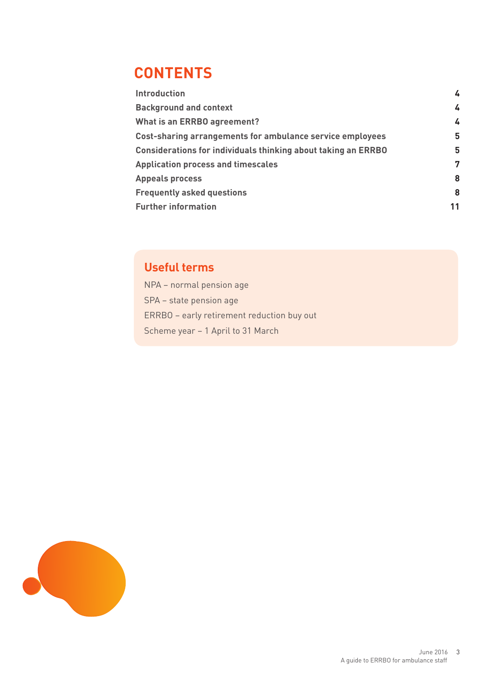### **contents**

| <b>Introduction</b>                                                  | 4  |
|----------------------------------------------------------------------|----|
| <b>Background and context</b>                                        | 4  |
| <b>What is an ERRBO agreement?</b>                                   | 4  |
| Cost-sharing arrangements for ambulance service employees            | 5  |
| <b>Considerations for individuals thinking about taking an ERRBO</b> | 5  |
| <b>Application process and timescales</b>                            | 7  |
| <b>Appeals process</b>                                               | 8  |
| <b>Frequently asked questions</b>                                    | 8  |
| <b>Further information</b>                                           | 11 |
|                                                                      |    |

### **Useful terms**

NPA – normal pension age SPA – state pension age ERRBO – early retirement reduction buy out Scheme year – 1 April to 31 March

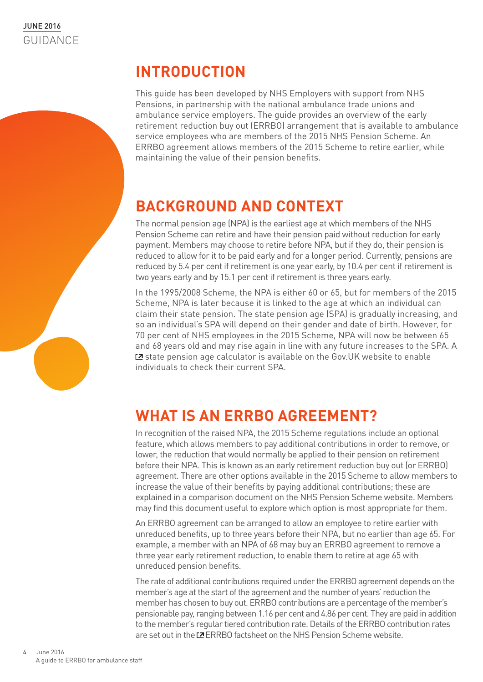### **Introduction**

This guide has been developed by NHS Employers with support from NHS Pensions, in partnership with the national ambulance trade unions and ambulance service employers. The guide provides an overview of the early retirement reduction buy out (ERRBO) arrangement that is available to ambulance service employees who are members of the 2015 NHS Pension Scheme. An ERRBO agreement allows members of the 2015 Scheme to retire earlier, while maintaining the value of their pension benefits.

# **BACKGROUND AND CONTEXT**

The normal pension age (NPA) is the earliest age at which members of the NHS Pension Scheme can retire and have their pension paid without reduction for early payment. Members may choose to retire before NPA, but if they do, their pension is reduced to allow for it to be paid early and for a longer period. Currently, pensions are reduced by 5.4 per cent if retirement is one year early, by 10.4 per cent if retirement is two years early and by 15.1 per cent if retirement is three years early.

In the 1995/2008 Scheme, the NPA is either 60 or 65, but for members of the 2015 Scheme, NPA is later because it is linked to the age at which an individual can claim their state pension. The state pension age (SPA) is gradually increasing, and so an individual's SPA will depend on their gender and date of birth. However, for 70 per cent of NHS employees in the 2015 Scheme, NPA will now be between 65 and 68 years old and may rise again in line with any future increases to the SPA. A  $\Sigma$  [state pension age calculator i](https://www.gov.uk/state-pension-age)s available on the Gov. UK website to enable individuals to check their current SPA.

# **WHAT IS AN ERRBO AGREEMENT?**

In recognition of the raised NPA, the 2015 Scheme regulations include an optional feature, which allows members to pay additional contributions in order to remove, or lower, the reduction that would normally be applied to their pension on retirement before their NPA. This is known as an early retirement reduction buy out (or ERRBO) agreement. There are other options available in the 2015 Scheme to allow members to increase the value of their benefits by paying additional contributions; these are explained in a comparison document on the NHS Pension Scheme website. Members may find this document useful to explore which option is most appropriate for them.

An ERRBO agreement can be arranged to allow an employee to retire earlier with unreduced benefits, up to three years before their NPA, but no earlier than age 65. For example, a member with an NPA of 68 may buy an ERRBO agreement to remove a three year early retirement reduction, to enable them to retire at age 65 with unreduced pension benefits.

The rate of additional contributions required under the ERRBO agreement depends on the member's age at the start of the agreement and the number of years' reduction the member has chosen to buy out. ERRBO contributions are a percentage of the member's pensionable pay, ranging between 1.16 per cent and 4.86 per cent. They are paid in addition to the member's regular tiered contribution rate. Details of the ERRBO contribution rates are set out in the **ERRBO** factsheet on the NHS Pension Scheme website.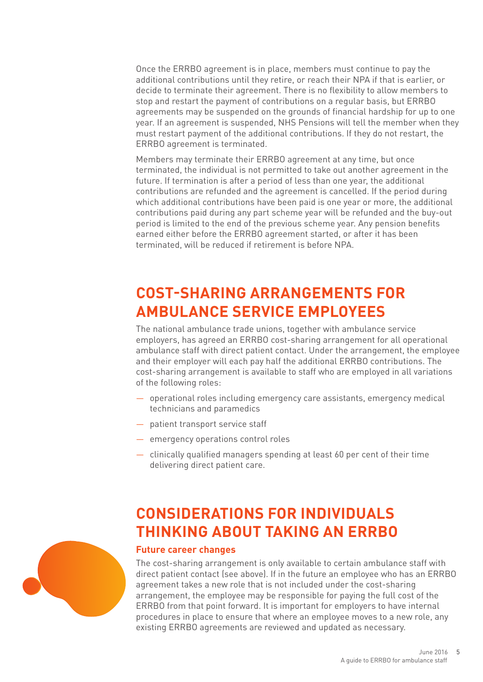Once the ERRBO agreement is in place, members must continue to pay the additional contributions until they retire, or reach their NPA if that is earlier, or decide to terminate their agreement. There is no flexibility to allow members to stop and restart the payment of contributions on a regular basis, but ERRBO agreements may be suspended on the grounds of financial hardship for up to one year. If an agreement is suspended, NHS Pensions will tell the member when they must restart payment of the additional contributions. If they do not restart, the ERRBO agreement is terminated.

Members may terminate their ERRBO agreement at any time, but once terminated, the individual is not permitted to take out another agreement in the future. If termination is after a period of less than one year, the additional contributions are refunded and the agreement is cancelled. If the period during which additional contributions have been paid is one year or more, the additional contributions paid during any part scheme year will be refunded and the buy-out period is limited to the end of the previous scheme year. Any pension benefits earned either before the ERRBO agreement started, or after it has been terminated, will be reduced if retirement is before NPA.

### **COST-SHARING ARRANGEMENTS FOR AMBULANCE SERVICE EMPLOYEES**

The national ambulance trade unions, together with ambulance service employers, has agreed an ERRBO cost-sharing arrangement for all operational ambulance staff with direct patient contact. Under the arrangement, the employee and their employer will each pay half the additional ERRBO contributions. The cost-sharing arrangement is available to staff who are employed in all variations of the following roles:

- operational roles including emergency care assistants, emergency medical technicians and paramedics
- patient transport service staff
- emergency operations control roles
- clinically qualified managers spending at least 60 per cent of their time delivering direct patient care.

## **CONSIDERATIONS FOR INDIVIDUALS THINKING ABOUT TAKING AN ERRBO**

#### **Future career changes**

The cost-sharing arrangement is only available to certain ambulance staff with direct patient contact (see above). If in the future an employee who has an ERRBO agreement takes a new role that is not included under the cost-sharing arrangement, the employee may be responsible for paying the full cost of the ERRBO from that point forward. It is important for employers to have internal procedures in place to ensure that where an employee moves to a new role, any existing ERRBO agreements are reviewed and updated as necessary.

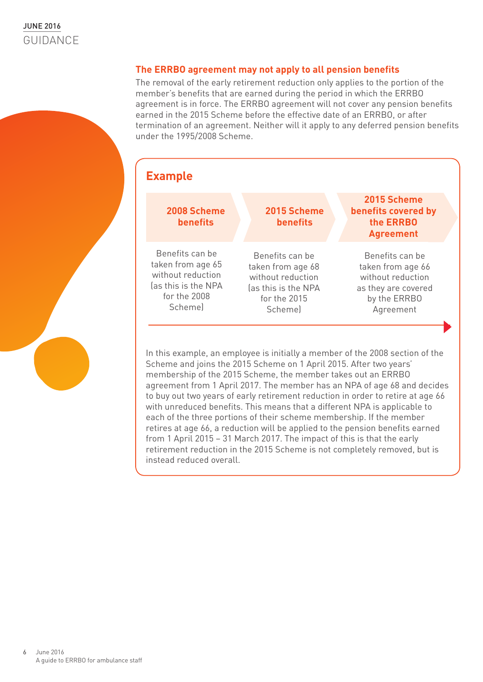#### **The ERRBO agreement may not apply to all pension benefits**

The removal of the early retirement reduction only applies to the portion of the member's benefits that are earned during the period in which the ERRBO agreement is in force. The ERRBO agreement will not cover any pension benefits earned in the 2015 Scheme before the effective date of an ERRBO, or after termination of an agreement. Neither will it apply to any deferred pension benefits under the 1995/2008 Scheme.



Scheme and joins the 2015 Scheme on 1 April 2015. After two years' membership of the 2015 Scheme, the member takes out an ERRBO agreement from 1 April 2017. The member has an NPA of age 68 and decides to buy out two years of early retirement reduction in order to retire at age 66 with unreduced benefits. This means that a different NPA is applicable to each of the three portions of their scheme membership. If the member retires at age 66, a reduction will be applied to the pension benefits earned from 1 April 2015 – 31 March 2017. The impact of this is that the early retirement reduction in the 2015 Scheme is not completely removed, but is instead reduced overall.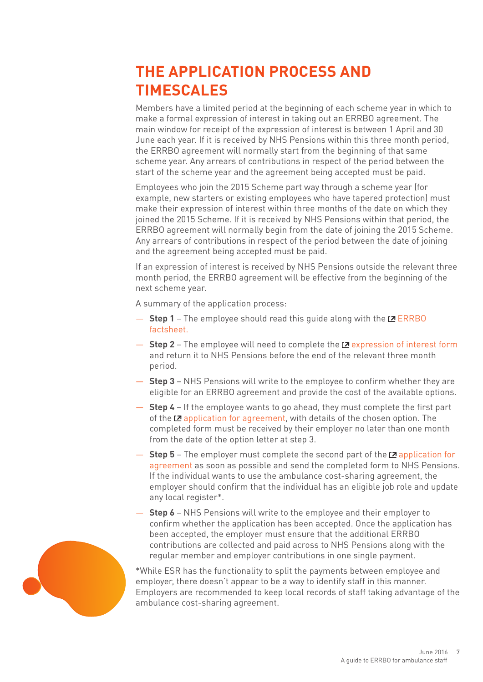## **THE APPLICATION PROCESS AND TIMESCALES**

Members have a limited period at the beginning of each scheme year in which to make a formal expression of interest in taking out an ERRBO agreement. The main window for receipt of the expression of interest is between 1 April and 30 June each year. If it is received by NHS Pensions within this three month period, the ERRBO agreement will normally start from the beginning of that same scheme year. Any arrears of contributions in respect of the period between the start of the scheme year and the agreement being accepted must be paid.

Employees who join the 2015 Scheme part way through a scheme year (for example, new starters or existing employees who have tapered protection) must make their expression of interest within three months of the date on which they joined the 2015 Scheme. If it is received by NHS Pensions within that period, the ERRBO agreement will normally begin from the date of joining the 2015 Scheme. Any arrears of contributions in respect of the period between the date of joining and the agreement being accepted must be paid.

If an expression of interest is received by NHS Pensions outside the relevant three month period, the ERRBO agreement will be effective from the beginning of the next scheme year.

A summary of the application process:

- **Step 1**  The employee should read this guide along with the [ERRBO](http://www.nhsbsa.nhs.uk/Documents/Pensions/ERRBO_factsheet-20160309-%28V6%29.pdf)  [factsheet.](http://www.nhsbsa.nhs.uk/Documents/Pensions/ERRBO_factsheet-20160309-%28V6%29.pdf)
- $-$  **Step 2** The employee will need to complete the L<sup>2</sup> [expression of interest form](http://www.nhsbsa.nhs.uk/Documents/Pensions/Added_benefits-ERRBO1-20150818-%28V4%29.pdf) and return it to NHS Pensions before the end of the relevant three month period.
- **Step 3**  NHS Pensions will write to the employee to confirm whether they are eligible for an ERRBO agreement and provide the cost of the available options.
- **Step 4**  If the employee wants to go ahead, they must complete the first part of the  $\mathbb Z$  [application for agreement](http://www.nhsbsa.nhs.uk/Documents/Pensions/Added_Benefits-ERRBO3-20150818-%28V2%29.pdf), with details of the chosen option. The completed form must be received by their employer no later than one month from the date of the option letter at step 3.
- $-$  **Step 5** The employer must complete the second part of the  $\mathbb{Z}$  application for [agreement](http://www.nhsbsa.nhs.uk/Documents/Pensions/Added_Benefits-ERRBO3-20150818-%28V2%29.pdf) as soon as possible and send the completed form to NHS Pensions. If the individual wants to use the ambulance cost-sharing agreement, the employer should confirm that the individual has an eligible job role and update any local register\*.
- **Step 6**  NHS Pensions will write to the employee and their employer to confirm whether the application has been accepted. Once the application has been accepted, the employer must ensure that the additional ERRBO contributions are collected and paid across to NHS Pensions along with the regular member and employer contributions in one single payment.

\*While ESR has the functionality to split the payments between employee and employer, there doesn't appear to be a way to identify staff in this manner. Employers are recommended to keep local records of staff taking advantage of the ambulance cost-sharing agreement.

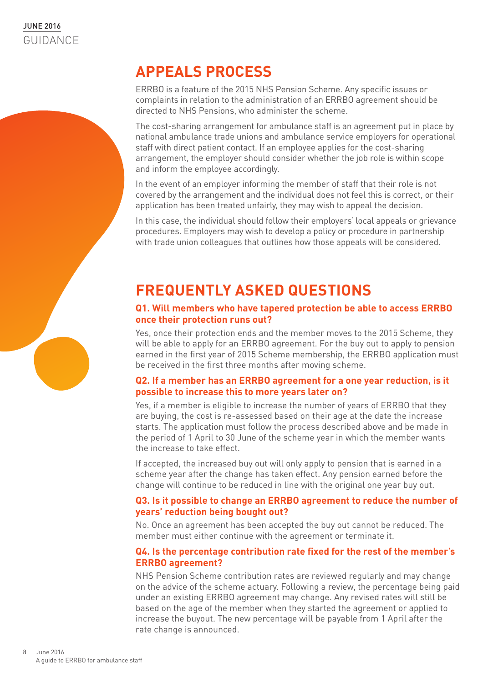### **APPEALS PROCESS**

ERRBO is a feature of the 2015 NHS Pension Scheme. Any specific issues or complaints in relation to the administration of an ERRBO agreement should be directed to NHS Pensions, who administer the scheme.

The cost-sharing arrangement for ambulance staff is an agreement put in place by national ambulance trade unions and ambulance service employers for operational staff with direct patient contact. If an employee applies for the cost-sharing arrangement, the employer should consider whether the job role is within scope and inform the employee accordingly.

In the event of an employer informing the member of staff that their role is not covered by the arrangement and the individual does not feel this is correct, or their application has been treated unfairly, they may wish to appeal the decision.

In this case, the individual should follow their employers' local appeals or grievance procedures. Employers may wish to develop a policy or procedure in partnership with trade union colleagues that outlines how those appeals will be considered.

## **FREQUENTLY ASKED QUESTIONS**

#### **Q1. Will members who have tapered protection be able to access ERRBO once their protection runs out?**

Yes, once their protection ends and the member moves to the 2015 Scheme, they will be able to apply for an ERRBO agreement. For the buy out to apply to pension earned in the first year of 2015 Scheme membership, the ERRBO application must be received in the first three months after moving scheme.

#### **Q2. If a member has an ERRBO agreement for a one year reduction, is it possible to increase this to more years later on?**

Yes, if a member is eligible to increase the number of years of ERRBO that they are buying, the cost is re-assessed based on their age at the date the increase starts. The application must follow the process described above and be made in the period of 1 April to 30 June of the scheme year in which the member wants the increase to take effect.

If accepted, the increased buy out will only apply to pension that is earned in a scheme year after the change has taken effect. Any pension earned before the change will continue to be reduced in line with the original one year buy out.

#### **Q3. Is it possible to change an ERRBO agreement to reduce the number of years' reduction being bought out?**

No. Once an agreement has been accepted the buy out cannot be reduced. The member must either continue with the agreement or terminate it.

#### **Q4. Is the percentage contribution rate fixed for the rest of the member's ERRBO agreement?**

NHS Pension Scheme contribution rates are reviewed regularly and may change on the advice of the scheme actuary. Following a review, the percentage being paid under an existing ERRBO agreement may change. Any revised rates will still be based on the age of the member when they started the agreement or applied to increase the buyout. The new percentage will be payable from 1 April after the rate change is announced.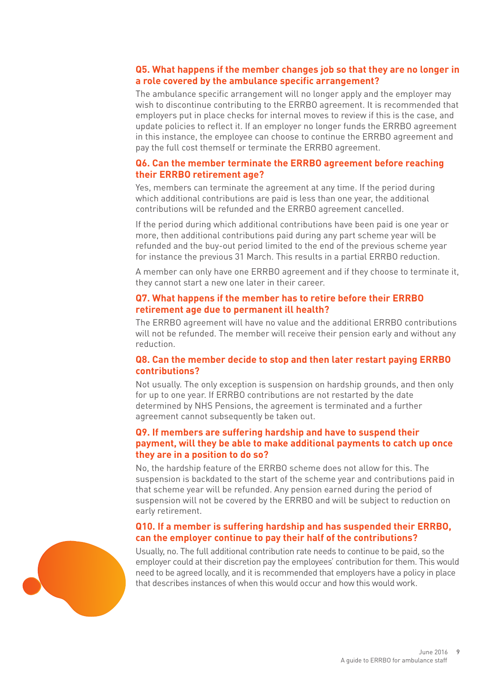#### **Q5. What happens if the member changes job so that they are no longer in a role covered by the ambulance specific arrangement?**

The ambulance specific arrangement will no longer apply and the employer may wish to discontinue contributing to the ERRBO agreement. It is recommended that employers put in place checks for internal moves to review if this is the case, and update policies to reflect it. If an employer no longer funds the ERRBO agreement in this instance, the employee can choose to continue the ERRBO agreement and pay the full cost themself or terminate the ERRBO agreement.

#### **Q6. Can the member terminate the ERRBO agreement before reaching their ERRBO retirement age?**

Yes, members can terminate the agreement at any time. If the period during which additional contributions are paid is less than one year, the additional contributions will be refunded and the ERRBO agreement cancelled.

If the period during which additional contributions have been paid is one year or more, then additional contributions paid during any part scheme year will be refunded and the buy-out period limited to the end of the previous scheme year for instance the previous 31 March. This results in a partial ERRBO reduction.

A member can only have one ERRBO agreement and if they choose to terminate it, they cannot start a new one later in their career.

#### **Q7. What happens if the member has to retire before their ERRBO retirement age due to permanent ill health?**

The ERRBO agreement will have no value and the additional ERRBO contributions will not be refunded. The member will receive their pension early and without any reduction.

#### **Q8. Can the member decide to stop and then later restart paying ERRBO contributions?**

Not usually. The only exception is suspension on hardship grounds, and then only for up to one year. If ERRBO contributions are not restarted by the date determined by NHS Pensions, the agreement is terminated and a further agreement cannot subsequently be taken out.

#### **Q9. If members are suffering hardship and have to suspend their payment, will they be able to make additional payments to catch up once they are in a position to do so?**

No, the hardship feature of the ERRBO scheme does not allow for this. The suspension is backdated to the start of the scheme year and contributions paid in that scheme year will be refunded. Any pension earned during the period of suspension will not be covered by the ERRBO and will be subject to reduction on early retirement.

#### **Q10. If a member is suffering hardship and has suspended their ERRBO, can the employer continue to pay their half of the contributions?**

Usually, no. The full additional contribution rate needs to continue to be paid, so the employer could at their discretion pay the employees' contribution for them. This would need to be agreed locally, and it is recommended that employers have a policy in place that describes instances of when this would occur and how this would work.

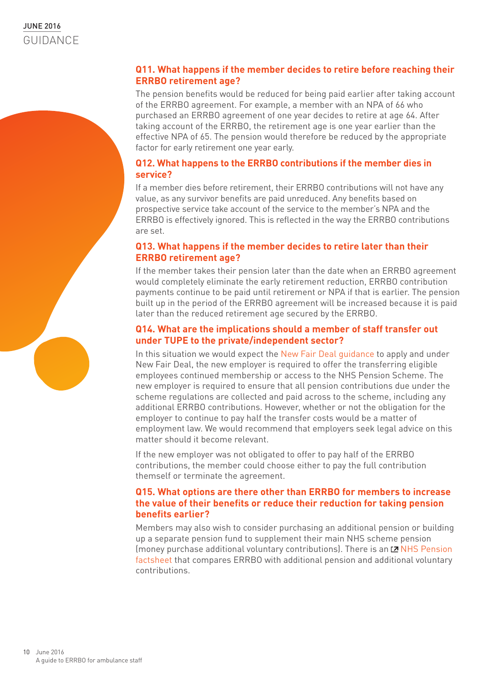#### **Q11. What happens if the member decides to retire before reaching their ERRBO retirement age?**

The pension benefits would be reduced for being paid earlier after taking account of the ERRBO agreement. For example, a member with an NPA of 66 who purchased an ERRBO agreement of one year decides to retire at age 64. After taking account of the ERRBO, the retirement age is one year earlier than the effective NPA of 65. The pension would therefore be reduced by the appropriate factor for early retirement one year early.

#### **Q12. What happens to the ERRBO contributions if the member dies in service?**

If a member dies before retirement, their ERRBO contributions will not have any value, as any survivor benefits are paid unreduced. Any benefits based on prospective service take account of the service to the member's NPA and the ERRBO is effectively ignored. This is reflected in the way the ERRBO contributions are set.

#### **Q13. What happens if the member decides to retire later than their ERRBO retirement age?**

If the member takes their pension later than the date when an ERRBO agreement would completely eliminate the early retirement reduction, ERRBO contribution payments continue to be paid until retirement or NPA if that is earlier. The pension built up in the period of the ERRBO agreement will be increased because it is paid later than the reduced retirement age secured by the ERRBO.

#### **Q14. What are the implications should a member of staff transfer out under TUPE to the private/independent sector?**

In this situation we would expect the [New Fair Deal guidance](http://www.nhsemployers.org/your-workforce/pay-and-reward/pensions/nhs-pension-scheme/new-fair-deal-and-access) to apply and under New Fair Deal, the new employer is required to offer the transferring eligible employees continued membership or access to the NHS Pension Scheme. The new employer is required to ensure that all pension contributions due under the scheme regulations are collected and paid across to the scheme, including any additional ERRBO contributions. However, whether or not the obligation for the employer to continue to pay half the transfer costs would be a matter of employment law. We would recommend that employers seek legal advice on this matter should it become relevant.

If the new employer was not obligated to offer to pay half of the ERRBO contributions, the member could choose either to pay the full contribution themself or terminate the agreement.

#### **Q15. What options are there other than ERRBO for members to increase the value of their benefits or reduce their reduction for taking pension benefits earlier?**

Members may also wish to consider purchasing an additional pension or building up a separate pension fund to supplement their main NHS scheme pension (money purchase additional voluntary contributions). There is an  $\mathbb Z$  NHS Pension [factsheet](http://www.nhsbsa.nhs.uk/Documents/Pensions/ERRBO-AP-AVC_Comparator_2015_Scheme_%28V1%29_06.2015.pdf) that compares ERRBO with additional pension and additional voluntary contributions.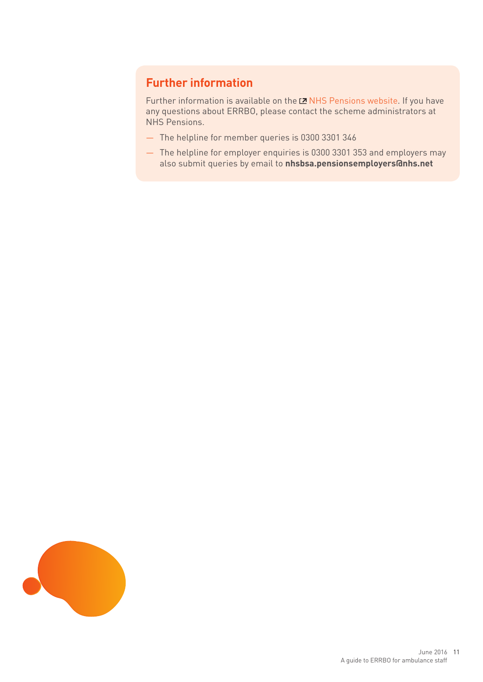### **Further information**

Further information is available on the LZ [NHS Pensions website](http://www.nhsbsa.nhs.uk/Pensions.aspx). If you have any questions about ERRBO, please contact the scheme administrators at NHS Pensions.

- The helpline for member queries is 0300 3301 346
- The helpline for employer enquiries is 0300 3301 353 and employers may also submit queries by email to **nhsbsa.pensionsemployers@nhs.net**